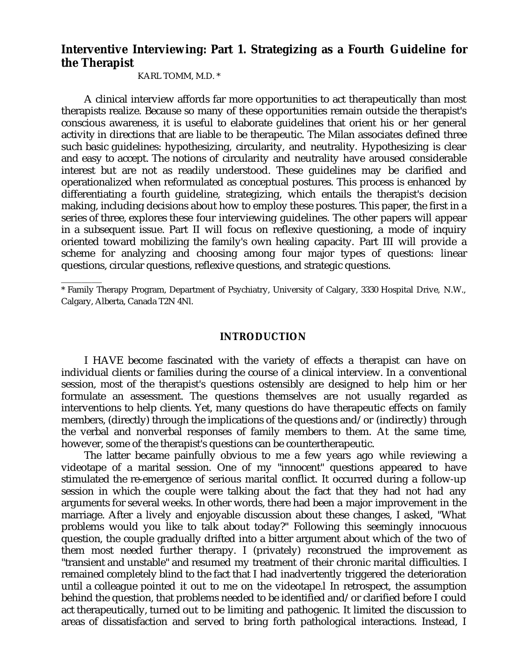# **Interventive Interviewing: Part 1. Strategizing as a Fourth Guideline for the Therapist**

KARL TOMM, M.D. \*

 $\overline{\phantom{a}}$  ,  $\overline{\phantom{a}}$ 

A clinical interview affords far more opportunities to act therapeutically than most therapists realize. Because so many of these opportunities remain outside the therapist's conscious awareness, it is useful to elaborate guidelines that orient his or her general activity in directions that are liable to be therapeutic. The Milan associates defined three such basic guidelines: hypothesizing, circularity, and neutrality. Hypothesizing is clear and easy to accept. The notions of circularity and neutrality have aroused considerable interest but are not as readily understood. These guidelines may be clarified and operationalized when reformulated as conceptual postures. This process is enhanced by differentiating a fourth guideline, strategizing, which entails the therapist's decision making, including decisions about how to employ these postures. This paper, the first in a series of three, explores these four interviewing guidelines. The other papers will appear in a subsequent issue. Part II will focus on reflexive questioning, a mode of inquiry oriented toward mobilizing the family's own healing capacity. Part III will provide a scheme for analyzing and choosing among four major types of questions: linear questions, circular questions, reflexive questions, and strategic questions.

#### **INTRODUCTION**

I HAVE become fascinated with the variety of effects a therapist can have on individual clients or families during the course of a clinical interview. In a conventional session, most of the therapist's questions ostensibly are designed to help him or her formulate an assessment. The questions themselves are not usually regarded as interventions to help clients. Yet, many questions do have therapeutic effects on family members, (directly) through the implications of the questions and/or (indirectly) through the verbal and nonverbal responses of family members to them. At the same time, however, some of the therapist's questions can be countertherapeutic.

The latter became painfully obvious to me a few years ago while reviewing a videotape of a marital session. One of my "innocent" questions appeared to have stimulated the re-emergence of serious marital conflict. It occurred during a follow-up session in which the couple were talking about the fact that they had not had any arguments for several weeks. In other words, there had been a major improvement in the marriage. After a lively and enjoyable discussion about these changes, I asked, "What problems would you like to talk about today?" Following this seemingly innocuous question, the couple gradually drifted into a bitter argument about which of the two of them most needed further therapy. I (privately) reconstrued the improvement as "transient and unstable" and resumed my treatment of their chronic marital difficulties. I remained completely blind to the fact that I had inadvertently triggered the deterioration until a colleague pointed it out to me on the videotape.l In retrospect, the assumption behind the question, that problems needed to be identified and/or clarified before I could act therapeutically, turned out to be limiting and pathogenic. It limited the discussion to areas of dissatisfaction and served to bring forth pathological interactions. Instead, I

<sup>\*</sup> Family Therapy Program, Department of Psychiatry, University of Calgary, 3330 Hospital Drive, N.W., Calgary, Alberta, Canada T2N 4Nl.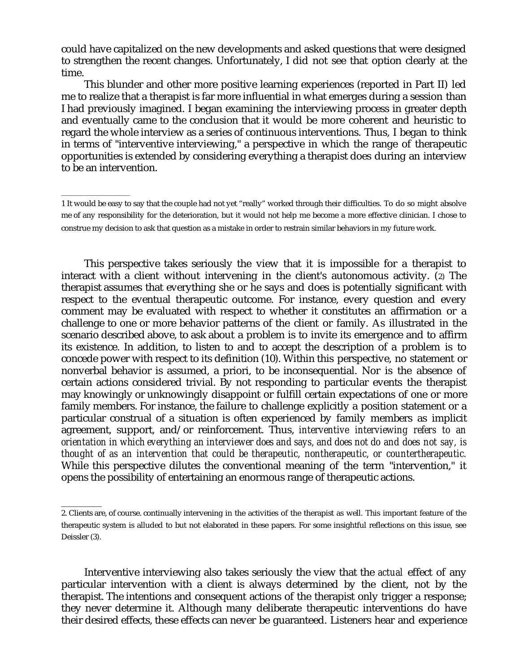could have capitalized on the new developments and asked questions that were designed to strengthen the recent changes. Unfortunately, I did not see that option clearly at the time.

This blunder and other more positive learning experiences (reported in Part II) led me to realize that a therapist is far more influential in what emerges during a session than I had previously imagined. I began examining the interviewing process in greater depth and eventually came to the conclusion that it would be more coherent and heuristic to regard the whole interview as a series of continuous interventions. Thus, I began to think in terms of "interventive interviewing," a perspective in which the range of therapeutic opportunities is extended by considering everything a therapist does during an interview to be an intervention.

\_\_\_\_\_\_\_\_\_\_\_\_\_\_\_\_\_\_

 $\overline{\phantom{a}}$  ,  $\overline{\phantom{a}}$ 

This perspective takes seriously the view that it is impossible for a therapist to interact with a client without intervening in the client's autonomous activity. (2) The therapist assumes that everything she or he says and does is potentially significant with respect to the eventual therapeutic outcome. For instance, every question and every comment may be evaluated with respect to whether it constitutes an affirmation or a challenge to one or more behavior patterns of the client or family. As illustrated in the scenario described above, to ask about a problem is to invite its emergence and to affirm its existence. In addition, to listen to and to accept the description of a problem is to concede power with respect to its definition (10). Within this perspective, no statement or nonverbal behavior is assumed, a priori, to be inconsequential. Nor is the absence of certain actions considered trivial. By not responding to particular events the therapist may knowingly or unknowingly disappoint or fulfill certain expectations of one or more family members. For instance, the failure to challenge explicitly a position statement or a particular construal of a situation is often experienced by family members as implicit agreement, support, and/or reinforcement. Thus, *interventive interviewing refers to an orientation in which everything an interviewer does and says, and does not do and does not say, is thought of as an intervention that could be therapeutic, nontherapeutic, or countertherapeutic.* While this perspective dilutes the conventional meaning of the term "intervention," it opens the possibility of entertaining an enormous range of therapeutic actions.

Interventive interviewing also takes seriously the view that the *actual* effect of any particular intervention with a client is always determined by the client, not by the therapist. The intentions and consequent actions of the therapist only trigger a response; they never determine it. Although many deliberate therapeutic interventions do have their desired effects, these effects can never be guaranteed. Listeners hear and experience

<sup>1</sup> It would be easy to say that the couple had not yet "really" worked through their difficulties. To do so might absolve me of any responsibility for the deterioration, but it would not help me become a more effective clinician. I chose to construe my decision to ask that question as a mistake in order to restrain similar behaviors in my future work.

<sup>2.</sup> Clients are, of course. continually intervening in the activities of the therapist as well. This important feature of the therapeutic system is alluded to but not elaborated in these papers. For some insightful reflections on this issue, see Deissler (3).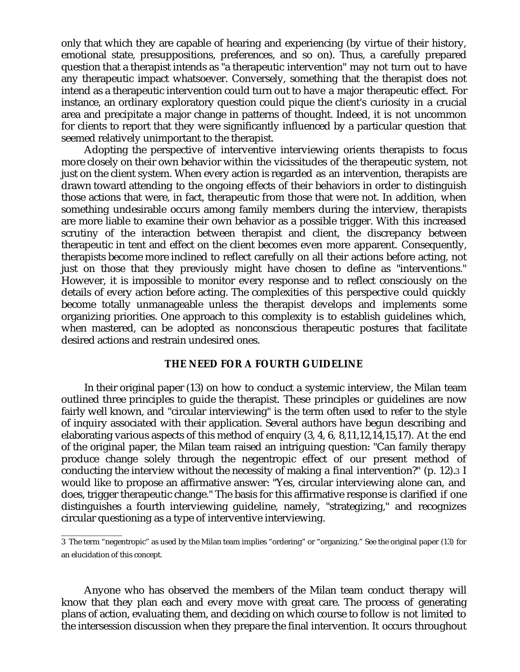only that which they are capable of hearing and experiencing (by virtue of their history, emotional state, presuppositions, preferences, and so on). Thus, a carefully prepared question that a therapist intends as "a therapeutic intervention" may not turn out to have any therapeutic impact whatsoever. Conversely, something that the therapist does not intend as a therapeutic intervention could turn out to have a major therapeutic effect. For instance, an ordinary exploratory question could pique the client's curiosity in a crucial area and precipitate a major change in patterns of thought. Indeed, it is not uncommon for clients to report that they were significantly influenced by a particular question that seemed relatively unimportant to the therapist.

Adopting the perspective of interventive interviewing orients therapists to focus more closely on their own behavior within the vicissitudes of the therapeutic system, not just on the client system. When every action is regarded as an intervention, therapists are drawn toward attending to the ongoing effects of their behaviors in order to distinguish those actions that were, in fact, therapeutic from those that were not. In addition, when something undesirable occurs among family members during the interview, therapists are more liable to examine their own behavior as a possible trigger. With this increased scrutiny of the interaction between therapist and client, the discrepancy between therapeutic in tent and effect on the client becomes even more apparent. Consequently, therapists become more inclined to reflect carefully on all their actions before acting, not just on those that they previously might have chosen to define as "interventions." However, it is impossible to monitor every response and to reflect consciously on the details of every action before acting. The complexities of this perspective could quickly become totally unmanageable unless the therapist develops and implements some organizing priorities. One approach to this complexity is to establish guidelines which, when mastered, can be adopted as nonconscious therapeutic postures that facilitate desired actions and restrain undesired ones.

## **THE NEED FOR A FOURTH GUIDELINE**

In their original paper (13) on how to conduct a systemic interview, the Milan team outlined three principles to guide the therapist. These principles or guidelines are now fairly well known, and "circular interviewing" is the term often used to refer to the style of inquiry associated with their application. Several authors have begun describing and elaborating various aspects of this method of enquiry (3, 4, 6, 8,11,12,14,15,17). At the end of the original paper, the Milan team raised an intriguing question: "Can family therapy produce change solely through the negentropic effect of our present method of conducting the interview without the necessity of making a final intervention?" (p. 12).3 I would like to propose an affirmative answer: "Yes, circular interviewing alone can, and does, trigger therapeutic change." The basis for this affirmative response is clarified if one distinguishes a fourth interviewing guideline, namely, "strategizing," and recognizes circular questioning as a type of interventive interviewing.

\_\_\_\_\_\_\_\_\_\_\_\_

Anyone who has observed the members of the Milan team conduct therapy will know that they plan each and every move with great care. The process of generating plans of action, evaluating them, and deciding on which course to follow is not limited to the intersession discussion when they prepare the final intervention. It occurs throughout

<sup>3</sup> The term "negentropic" as used by the Milan team implies "ordering" or "organizing." See the original paper (13) for an elucidation of this concept.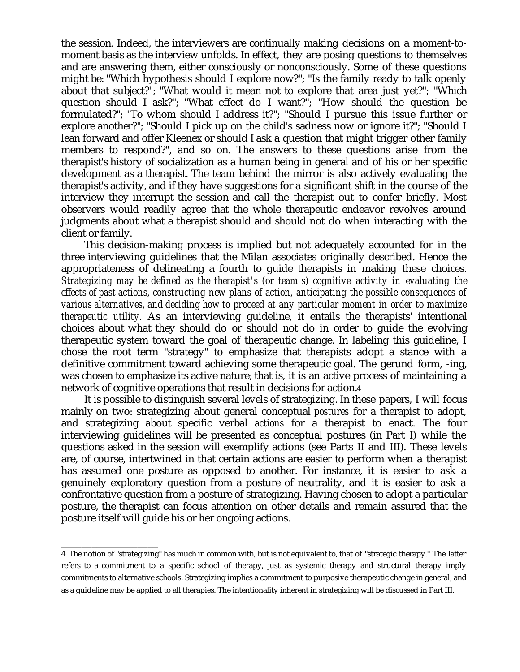the session. Indeed, the interviewers are continually making decisions on a moment-tomoment basis as the interview unfolds. In effect, they are posing questions to themselves and are answering them, either consciously or nonconsciously. Some of these questions might be: "Which hypothesis should I explore now?"; "Is the family ready to talk openly about that subject?"; "What would it mean not to explore that area just yet?"; "Which question should I ask?"; "What effect do I want?"; "How should the question be formulated?"; "To whom should I address it?"; "Should I pursue this issue further or explore another?"; "Should I pick up on the child's sadness now or ignore it?"; "Should I lean forward and offer Kleenex or should I ask a question that might trigger other family members to respond?", and so on. The answers to these questions arise from the therapist's history of socialization as a human being in general and of his or her specific development as a therapist. The team behind the mirror is also actively evaluating the therapist's activity, and if they have suggestions for a significant shift in the course of the interview they interrupt the session and call the therapist out to confer briefly. Most observers would readily agree that the whole therapeutic endeavor revolves around judgments about what a therapist should and should not do when interacting with the client or family.

This decision-making process is implied but not adequately accounted for in the three interviewing guidelines that the Milan associates originally described. Hence the appropriateness of delineating a fourth to guide therapists in making these choices. *Strategizing may be defined as the therapist's (or team's) cognitive activity in evaluating the effects of past actions, constructing new plans of action, anticipating the possible consequences of various alternatives, and deciding how to proceed at any particular moment in order to maximize therapeutic utility.* As an interviewing guideline, it entails the therapists' intentional choices about what they should do or should not do in order to guide the evolving therapeutic system toward the goal of therapeutic change. In labeling this guideline, I chose the root term "strategy" to emphasize that therapists adopt a stance with a definitive commitment toward achieving some therapeutic goal. The gerund form, -ing, was chosen to emphasize its active nature; that is, it is an active process of maintaining a network of cognitive operations that result in decisions for action.4

It is possible to distinguish several levels of strategizing. In these papers, I will focus mainly on two: strategizing about general conceptual *postures* for a therapist to adopt, and strategizing about specific verbal *actions* for a therapist to enact. The four interviewing guidelines will be presented as conceptual postures (in Part I) while the questions asked in the session will exemplify actions (see Parts II and III). These levels are, of course, intertwined in that certain actions are easier to perform when a therapist has assumed one posture as opposed to another. For instance, it is easier to ask a genuinely exploratory question from a posture of neutrality, and it is easier to ask a confrontative question from a posture of strategizing. Having chosen to adopt a particular posture, the therapist can focus attention on other details and remain assured that the posture itself will guide his or her ongoing actions.

\_\_\_\_\_\_\_\_\_\_\_\_\_\_\_\_\_\_\_

<sup>4</sup> The notion of "strategizing" has much in common with, but is not equivalent to, that of "strategic therapy." The latter refers to a commitment to a specific school of therapy, just as systemic therapy and structural therapy imply commitments to alternative schools. Strategizing implies a commitment to purposive therapeutic change in general, and as a guideline may be applied to all therapies. The intentionality inherent in strategizing will be discussed in Part III.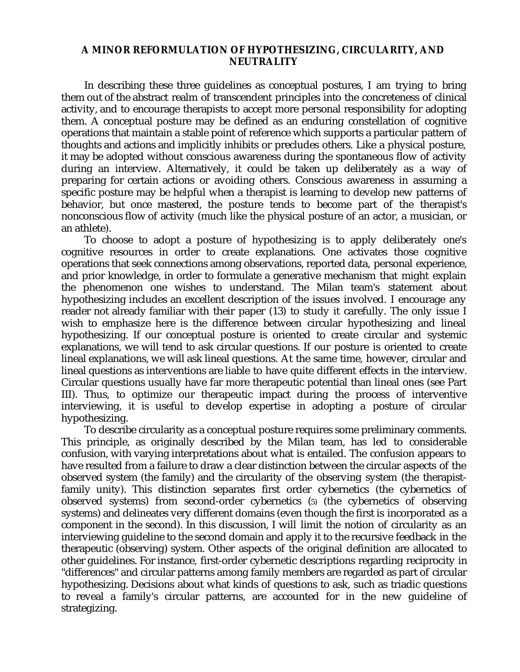## **A MINOR REFORMULATION OF HYPOTHESIZING, CIRCULARITY, AND NEUTRALITY**

In describing these three guidelines as conceptual postures, I am trying to bring them out of the abstract realm of transcendent principles into the concreteness of clinical activity, and to encourage therapists to accept more personal responsibility for adopting them. A conceptual posture may be defined as an enduring constellation of cognitive operations that maintain a stable point of reference which supports a particular pattern of thoughts and actions and implicitly inhibits or precludes others. Like a physical posture, it may be adopted without conscious awareness during the spontaneous flow of activity during an interview. Alternatively, it could be taken up deliberately as a way of preparing for certain actions or avoiding others. Conscious awareness in assuming a specific posture may be helpful when a therapist is learning to develop new patterns of behavior, but once mastered, the posture tends to become part of the therapist's nonconscious flow of activity (much like the physical posture of an actor, a musician, or an athlete).

To choose to adopt a posture of hypothesizing is to apply deliberately one's cognitive resources in order to create explanations. One activates those cognitive operations that seek connections among observations, reported data, personal experience, and prior knowledge, in order to formulate a generative mechanism that might explain the phenomenon one wishes to understand. The Milan team's statement about hypothesizing includes an excellent description of the issues involved. I encourage any reader not already familiar with their paper (13) to study it carefully. The only issue I wish to emphasize here is the difference between circular hypothesizing and lineal hypothesizing. If our conceptual posture is oriented to create circular and systemic explanations, we will tend to ask circular questions. If our posture is oriented to create lineal explanations, we will ask lineal questions. At the same time, however, circular and lineal questions as interventions are liable to have quite different effects in the interview. Circular questions usually have far more therapeutic potential than lineal ones (see Part III). Thus, to optimize our therapeutic impact during the process of interventive interviewing, it is useful to develop expertise in adopting a posture of circular hypothesizing.

To describe circularity as a conceptual posture requires some preliminary comments. This principle, as originally described by the Milan team, has led to considerable confusion, with varying interpretations about what is entailed. The confusion appears to have resulted from a failure to draw a clear distinction between the circular aspects of the observed system (the family) and the circularity of the observing system (the therapistfamily unity). This distinction separates first order cybernetics (the cybernetics of observed systems) from second-order cybernetics (5) (the cybernetics of observing systems) and delineates very different domains (even though the first is incorporated as a component in the second). In this discussion, I will limit the notion of circularity as an interviewing guideline to the second domain and apply it to the recursive feedback in the therapeutic (observing) system. Other aspects of the original definition are allocated to other guidelines. For instance, first-order cybernetic descriptions regarding reciprocity in "differences" and circular patterns among family members are regarded as part of circular hypothesizing. Decisions about what kinds of questions to ask, such as triadic questions to reveal a family's circular patterns, are accounted for in the new guideline of strategizing.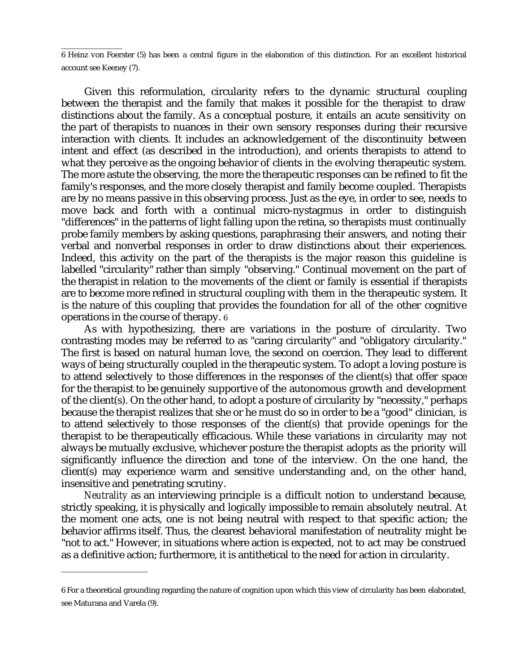6 Heinz von Foerster (5) has been a central figure in the elaboration of this distinction. For an excellent historical account see Keeney (7).

\_\_\_\_\_\_\_\_\_\_\_\_

 $\overline{\phantom{a}}$  , where  $\overline{\phantom{a}}$ 

Given this reformulation, circularity refers to the dynamic structural coupling between the therapist and the family that makes it possible for the therapist to draw distinctions about the family. As a conceptual posture, it entails an acute sensitivity on the part of therapists to nuances in their own sensory responses during their recursive interaction with clients. It includes an acknowledgement of the discontinuity between intent and effect (as described in the introduction), and orients therapists to attend to what they perceive as the ongoing behavior of clients in the evolving therapeutic system. The more astute the observing, the more the therapeutic responses can be refined to fit the family's responses, and the more closely therapist and family become coupled. Therapists are by no means passive in this observing process. Just as the eye, in order to see, needs to move back and forth with a continual micro-nystagmus in order to distinguish "differences" in the patterns of light falling upon the retina, so therapists must continually probe family members by asking questions, paraphrasing their answers, and noting their verbal and nonverbal responses in order to draw distinctions about their experiences. Indeed, this activity on the part of the therapists is the major reason this guideline is labelled "circularity" rather than simply "observing." Continual movement on the part of the therapist in relation to the movements of the client or family is essential if therapists are to become more refined in structural coupling with them in the therapeutic system. It is the nature of this coupling that provides the foundation for all of the other cognitive operations in the course of therapy. 6

As with hypothesizing, there are variations in the posture of circularity. Two contrasting modes may be referred to as "caring circularity" and "obligatory circularity." The first is based on natural human love, the second on coercion. They lead to different ways of being structurally coupled in the therapeutic system. To adopt a loving posture is to attend selectively to those differences in the responses of the client(s) that offer space for the therapist to be genuinely supportive of the autonomous growth and development of the client(s). On the other hand, to adopt a posture of circularity by "necessity," perhaps because the therapist realizes that she or he must do so in order to be a "good" clinician, is to attend selectively to those responses of the client(s) that provide openings for the therapist to be therapeutically efficacious. While these variations in circularity may not always be mutually exclusive, whichever posture the therapist adopts as the priority will significantly influence the direction and tone of the interview. On the one hand, the client(s) may experience warm and sensitive understanding and, on the other hand, insensitive and penetrating scrutiny.

*Neutrality* as an interviewing principle is a difficult notion to understand because, strictly speaking, it is physically and logically impossible to remain absolutely neutral. At the moment one acts, one is not being neutral with respect to that specific action; the behavior affirms itself. Thus, the clearest behavioral manifestation of neutrality might be "not to act." However, in situations where action is expected, not to act may be construed as a definitive action; furthermore, it is antithetical to the need for action in circularity.

<sup>6</sup> For a theoretical grounding regarding the nature of cognition upon which this view of circularity has been elaborated, see Maturana and Varela (9).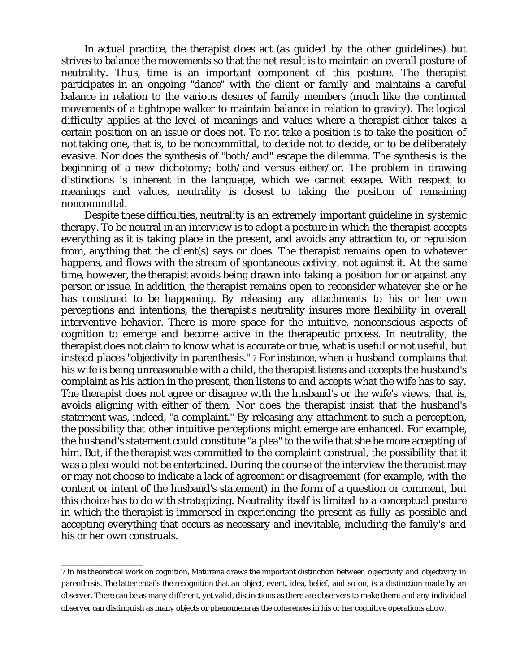In actual practice, the therapist does act (as guided by the other guidelines) but strives to balance the movements so that the net result is to maintain an overall posture of neutrality. Thus, time is an important component of this posture. The therapist participates in an ongoing "dance" with the client or family and maintains a careful balance in relation to the various desires of family members (much like the continual movements of a tightrope walker to maintain balance in relation to gravity). The logical difficulty applies at the level of meanings and values where a therapist either takes a certain position on an issue or does not. To not take a position is to take the position of not taking one, that is, to be noncommittal, to decide not to decide, or to be deliberately evasive. Nor does the synthesis of "both/and" escape the dilemma. The synthesis is the beginning of a new dichotomy; both/and versus either/or. The problem in drawing distinctions is inherent in the language, which we cannot escape. With respect to meanings and values, neutrality is closest to taking the position of remaining noncommittal.

Despite these difficulties, neutrality is an extremely important guideline in systemic therapy. To be neutral in an interview is to adopt a posture in which the therapist accepts everything as it is taking place in the present, and avoids any attraction to, or repulsion from, anything that the client(s) says or does. The therapist remains open to whatever happens, and flows with the stream of spontaneous activity, not against it. At the same time, however, the therapist avoids being drawn into taking a position for or against any person or issue. In addition, the therapist remains open to reconsider whatever she or he has construed to be happening. By releasing any attachments to his or her own perceptions and intentions, the therapist's neutrality insures more flexibility in overall interventive behavior. There is more space for the intuitive, nonconscious aspects of cognition to emerge and become active in the therapeutic process. In neutrality, the therapist does not claim to know what is accurate or true, what is useful or not useful, but instead places "objectivity in parenthesis." 7 For instance, when a husband complains that his wife is being unreasonable with a child, the therapist listens and accepts the husband's complaint as his action in the present, then listens to and accepts what the wife has to say. The therapist does not agree or disagree with the husband's or the wife's views, that is, avoids aligning with either of them. Nor does the therapist insist that the husband's statement was, indeed, "a complaint." By releasing any attachment to such a perception, the possibility that other intuitive perceptions might emerge are enhanced. For example, the husband's statement could constitute "a plea" to the wife that she be more accepting of him. But, if the therapist was committed to the complaint construal, the possibility that it was a plea would not be entertained. During the course of the interview the therapist may or may not choose to indicate a lack of agreement or disagreement (for example, with the content or intent of the husband's statement) in the form of a question or comment, but this choice has to do with strategizing. Neutrality itself is limited to a conceptual posture in which the therapist is immersed in experiencing the present as fully as possible and accepting everything that occurs as necessary and inevitable, including the family's and his or her own construals.

 $\overline{\phantom{a}}$  , where  $\overline{\phantom{a}}$ 

<sup>7</sup> In his theoretical work on cognition, Maturana draws the important distinction between objectivity and objectivity in parenthesis. The latter entails the recognition that an object, event, idea, belief, and so on, is a distinction made by an observer. There can be as many different, yet valid, distinctions as there are observers to make them; and any individual observer can distinguish as many objects or phenomena as the coherences in his or her cognitive operations allow.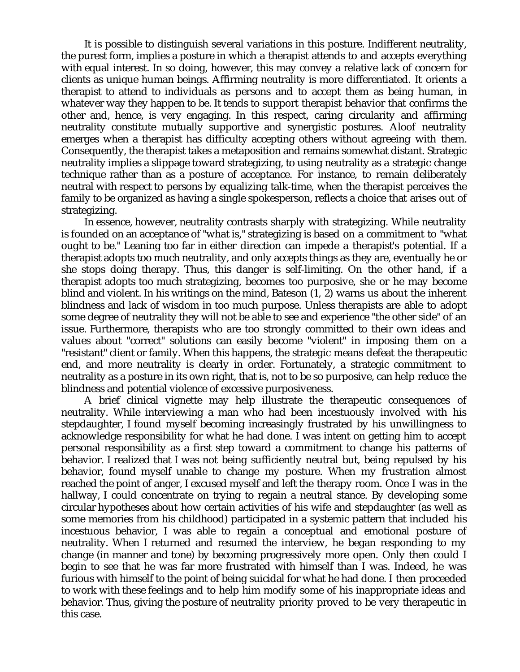It is possible to distinguish several variations in this posture. Indifferent neutrality, the purest form, implies a posture in which a therapist attends to and accepts everything with equal interest. In so doing, however, this may convey a relative lack of concern for clients as unique human beings. Affirming neutrality is more differentiated. It orients a therapist to attend to individuals as persons and to accept them as being human, in whatever way they happen to be. It tends to support therapist behavior that confirms the other and, hence, is very engaging. In this respect, caring circularity and affirming neutrality constitute mutually supportive and synergistic postures. Aloof neutrality emerges when a therapist has difficulty accepting others without agreeing with them. Consequently, the therapist takes a metaposition and remains somewhat distant. Strategic neutrality implies a slippage toward strategizing, to using neutrality as a strategic change technique rather than as a posture of acceptance. For instance, to remain deliberately neutral with respect to persons by equalizing talk-time, when the therapist perceives the family to be organized as having a single spokesperson, reflects a choice that arises out of strategizing.

In essence, however, neutrality contrasts sharply with strategizing. While neutrality is founded on an acceptance of "what is," strategizing is based on a commitment to "what ought to be." Leaning too far in either direction can impede a therapist's potential. If a therapist adopts too much neutrality, and only accepts things as they are, eventually he or she stops doing therapy. Thus, this danger is self-limiting. On the other hand, if a therapist adopts too much strategizing, becomes too purposive, she or he may become blind and violent. In his writings on the mind, Bateson (1, 2) warns us about the inherent blindness and lack of wisdom in too much purpose. Unless therapists are able to adopt some degree of neutrality they will not be able to see and experience "the other side" of an issue. Furthermore, therapists who are too strongly committed to their own ideas and values about "correct" solutions can easily become "violent" in imposing them on a "resistant" client or family. When this happens, the strategic means defeat the therapeutic end, and more neutrality is clearly in order. Fortunately, a strategic commitment to neutrality as a posture in its own right, that is, not to be so purposive, can help reduce the blindness and potential violence of excessive purposiveness.

A brief clinical vignette may help illustrate the therapeutic consequences of neutrality. While interviewing a man who had been incestuously involved with his stepdaughter, I found myself becoming increasingly frustrated by his unwillingness to acknowledge responsibility for what he had done. I was intent on getting him to accept personal responsibility as a first step toward a commitment to change his patterns of behavior. I realized that I was not being sufficiently neutral but, being repulsed by his behavior, found myself unable to change my posture. When my frustration almost reached the point of anger, I excused myself and left the therapy room. Once I was in the hallway, I could concentrate on trying to regain a neutral stance. By developing some circular hypotheses about how certain activities of his wife and stepdaughter (as well as some memories from his childhood) participated in a systemic pattern that included his incestuous behavior, I was able to regain a conceptual and emotional posture of neutrality. When I returned and resumed the interview, he began responding to my change (in manner and tone) by becoming progressively more open. Only then could I begin to see that he was far more frustrated with himself than I was. Indeed, he was furious with himself to the point of being suicidal for what he had done. I then proceeded to work with these feelings and to help him modify some of his inappropriate ideas and behavior. Thus, giving the posture of neutrality priority proved to be very therapeutic in this case.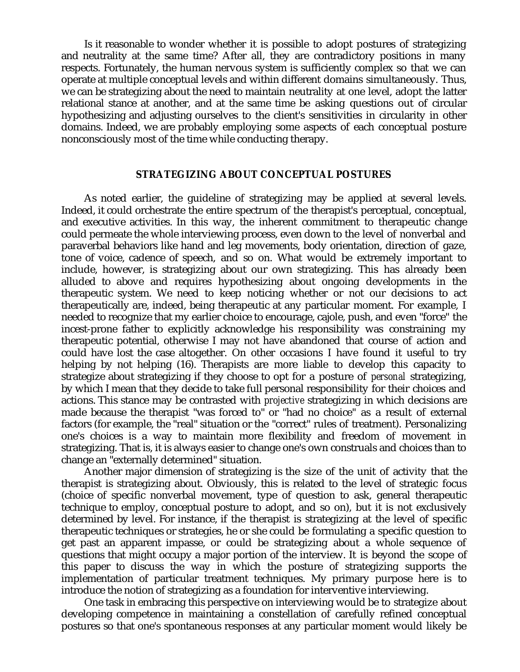Is it reasonable to wonder whether it is possible to adopt postures of strategizing and neutrality at the same time? After all, they are contradictory positions in many respects. Fortunately, the human nervous system is sufficiently complex so that we can operate at multiple conceptual levels and within different domains simultaneously. Thus, we can be strategizing about the need to maintain neutrality at one level, adopt the latter relational stance at another, and at the same time be asking questions out of circular hypothesizing and adjusting ourselves to the client's sensitivities in circularity in other domains. Indeed, we are probably employing some aspects of each conceptual posture nonconsciously most of the time while conducting therapy.

#### **STRATEGIZING ABOUT CONCEPTUAL POSTURES**

As noted earlier, the guideline of strategizing may be applied at several levels. Indeed, it could orchestrate the entire spectrum of the therapist's perceptual, conceptual, and executive activities. In this way, the inherent commitment to therapeutic change could permeate the whole interviewing process, even down to the level of nonverbal and paraverbal behaviors like hand and leg movements, body orientation, direction of gaze, tone of voice, cadence of speech, and so on. What would be extremely important to include, however, is strategizing about our own strategizing. This has already been alluded to above and requires hypothesizing about ongoing developments in the therapeutic system. We need to keep noticing whether or not our decisions to act therapeutically are, indeed, being therapeutic at any particular moment. For example, I needed to recognize that my earlier choice to encourage, cajole, push, and even "force" the incest-prone father to explicitly acknowledge his responsibility was constraining my therapeutic potential, otherwise I may not have abandoned that course of action and could have lost the case altogether. On other occasions I have found it useful to try helping by not helping (16). Therapists are more liable to develop this capacity to strategize about strategizing if they choose to opt for a posture of *personal* strategizing, by which I mean that they decide to take full personal responsibility for their choices and actions. This stance may be contrasted with *projective* strategizing in which decisions are made because the therapist "was forced to" or "had no choice" as a result of external factors (for example, the "real" situation or the "correct" rules of treatment). Personalizing one's choices is a way to maintain more flexibility and freedom of movement in strategizing. That is, it is always easier to change one's own construals and choices than to change an "externally determined" situation.

Another major dimension of strategizing is the size of the unit of activity that the therapist is strategizing about. Obviously, this is related to the level of strategic focus (choice of specific nonverbal movement, type of question to ask, general therapeutic technique to employ, conceptual posture to adopt, and so on), but it is not exclusively determined by level. For instance, if the therapist is strategizing at the level of specific therapeutic techniques or strategies, he or she could be formulating a specific question to get past an apparent impasse, or could be strategizing about a whole sequence of questions that might occupy a major portion of the interview. It is beyond the scope of this paper to discuss the way in which the posture of strategizing supports the implementation of particular treatment techniques. My primary purpose here is to introduce the notion of strategizing as a foundation for interventive interviewing.

One task in embracing this perspective on interviewing would be to strategize about developing competence in maintaining a constellation of carefully refined conceptual postures so that one's spontaneous responses at any particular moment would likely be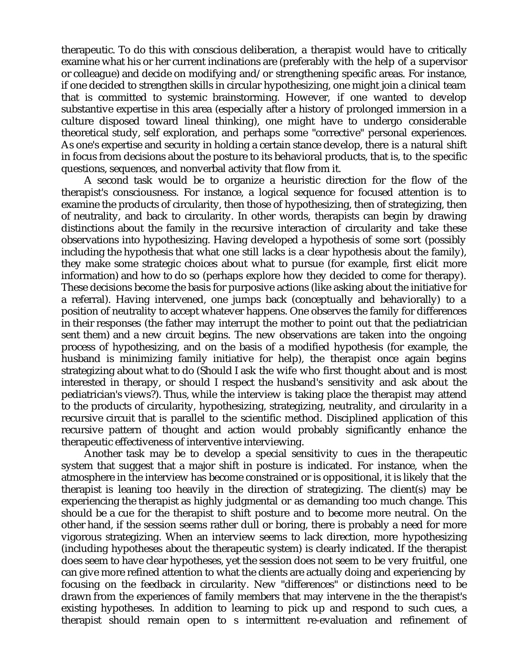therapeutic. To do this with conscious deliberation, a therapist would have to critically examine what his or her current inclinations are (preferably with the help of a supervisor or colleague) and decide on modifying and/or strengthening specific areas. For instance, if one decided to strengthen skills in circular hypothesizing, one might join a clinical team that is committed to systemic brainstorming. However, if one wanted to develop substantive expertise in this area (especially after a history of prolonged immersion in a culture disposed toward lineal thinking), one might have to undergo considerable theoretical study, self exploration, and perhaps some "corrective" personal experiences. As one's expertise and security in holding a certain stance develop, there is a natural shift in focus from decisions about the posture to its behavioral products, that is, to the specific questions, sequences, and nonverbal activity that flow from it.

A second task would be to organize a heuristic direction for the flow of the therapist's consciousness. For instance, a logical sequence for focused attention is to examine the products of circularity, then those of hypothesizing, then of strategizing, then of neutrality, and back to circularity. In other words, therapists can begin by drawing distinctions about the family in the recursive interaction of circularity and take these observations into hypothesizing. Having developed a hypothesis of some sort (possibly including the hypothesis that what one still lacks is a clear hypothesis about the family), they make some strategic choices about what to pursue (for example, first elicit more information) and how to do so (perhaps explore how they decided to come for therapy). These decisions become the basis for purposive actions (like asking about the initiative for a referral). Having intervened, one jumps back (conceptually and behaviorally) to a position of neutrality to accept whatever happens. One observes the family for differences in their responses (the father may interrupt the mother to point out that the pediatrician sent them) and a new circuit begins. The new observations are taken into the ongoing process of hypothesizing, and on the basis of a modified hypothesis (for example, the husband is minimizing family initiative for help), the therapist once again begins strategizing about what to do (Should I ask the wife who first thought about and is most interested in therapy, or should I respect the husband's sensitivity and ask about the pediatrician's views?). Thus, while the interview is taking place the therapist may attend to the products of circularity, hypothesizing, strategizing, neutrality, and circularity in a recursive circuit that is parallel to the scientific method. Disciplined application of this recursive pattern of thought and action would probably significantly enhance the therapeutic effectiveness of interventive interviewing.

Another task may be to develop a special sensitivity to cues in the therapeutic system that suggest that a major shift in posture is indicated. For instance, when the atmosphere in the interview has become constrained or is oppositional, it is likely that the therapist is leaning too heavily in the direction of strategizing. The client(s) may be experiencing the therapist as highly judgmental or as demanding too much change. This should be a cue for the therapist to shift posture and to become more neutral. On the other hand, if the session seems rather dull or boring, there is probably a need for more vigorous strategizing. When an interview seems to lack direction, more hypothesizing (including hypotheses about the therapeutic system) is clearly indicated. If the therapist does seem to have clear hypotheses, yet the session does not seem to be very fruitful, one can give more refined attention to what the clients are actually doing and experiencing by focusing on the feedback in circularity. New "differences" or distinctions need to be drawn from the experiences of family members that may intervene in the the therapist's existing hypotheses. In addition to learning to pick up and respond to such cues, a therapist should remain open to s intermittent re-evaluation and refinement of